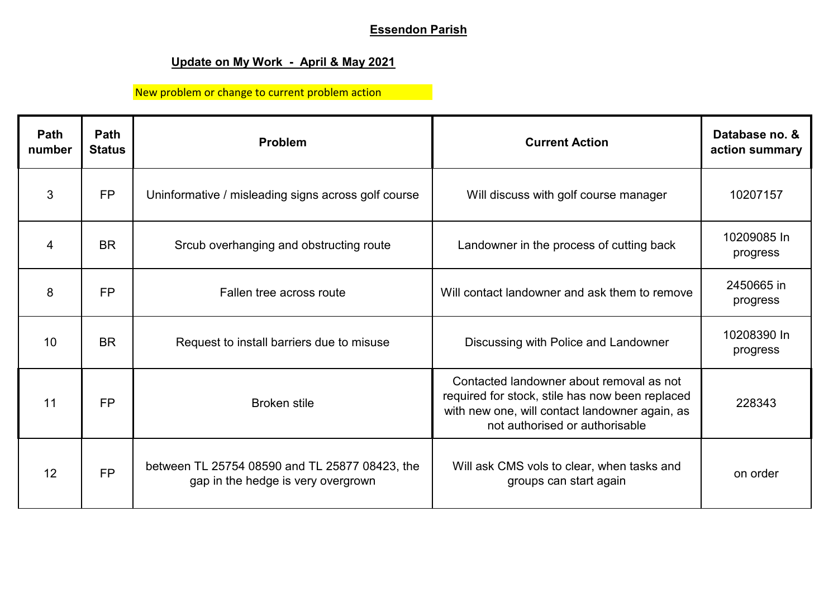## **Essendon Parish**

## **Update on My Work - April & May 2021**

New problem or change to current problem action

| Path<br>number | Path<br><b>Status</b> | <b>Problem</b>                                                                       | <b>Current Action</b>                                                                                                                                                           | Database no. &<br>action summary |
|----------------|-----------------------|--------------------------------------------------------------------------------------|---------------------------------------------------------------------------------------------------------------------------------------------------------------------------------|----------------------------------|
| 3              | <b>FP</b>             | Uninformative / misleading signs across golf course                                  | Will discuss with golf course manager                                                                                                                                           | 10207157                         |
| $\overline{4}$ | <b>BR</b>             | Srcub overhanging and obstructing route                                              | Landowner in the process of cutting back                                                                                                                                        | 10209085 In<br>progress          |
| 8              | <b>FP</b>             | Fallen tree across route                                                             | Will contact landowner and ask them to remove                                                                                                                                   | 2450665 in<br>progress           |
| 10             | <b>BR</b>             | Request to install barriers due to misuse                                            | Discussing with Police and Landowner                                                                                                                                            | 10208390 In<br>progress          |
| 11             | <b>FP</b>             | <b>Broken stile</b>                                                                  | Contacted landowner about removal as not<br>required for stock, stile has now been replaced<br>with new one, will contact landowner again, as<br>not authorised or authorisable | 228343                           |
| 12             | <b>FP</b>             | between TL 25754 08590 and TL 25877 08423, the<br>gap in the hedge is very overgrown | Will ask CMS vols to clear, when tasks and<br>groups can start again                                                                                                            | on order                         |